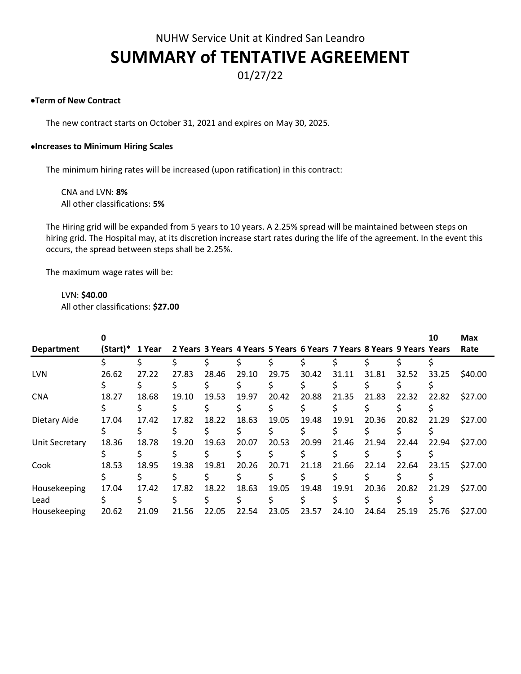# NUHW Service Unit at Kindred San Leandro **SUMMARY of TENTATIVE AGREEMENT**

# 01/27/22

# •**Term of New Contract**

The new contract starts on October 31, 2021 and expires on May 30, 2025.

#### •**Increases to Minimum Hiring Scales**

The minimum hiring rates will be increased (upon ratification) in this contract:

CNA and LVN: **8%** All other classifications: **5%**

The Hiring grid will be expanded from 5 years to 10 years. A 2.25% spread will be maintained between steps on hiring grid. The Hospital may, at its discretion increase start rates during the life of the agreement. In the event this occurs, the spread between steps shall be 2.25%.

The maximum wage rates will be:

LVN: **\$40.00**

All other classifications: **\$27.00**

|                   |          |        |       |       |       |       |                                                                       |       |       |       | 10    | <b>Max</b> |
|-------------------|----------|--------|-------|-------|-------|-------|-----------------------------------------------------------------------|-------|-------|-------|-------|------------|
| <b>Department</b> | (Start)* | 1 Year |       |       |       |       | 2 Years 3 Years 4 Years 5 Years 6 Years 7 Years 8 Years 9 Years Years |       |       |       |       | Rate       |
|                   |          |        |       |       |       |       |                                                                       |       |       |       |       |            |
| <b>LVN</b>        | 26.62    | 27.22  | 27.83 | 28.46 | 29.10 | 29.75 | 30.42                                                                 | 31.11 | 31.81 | 32.52 | 33.25 | \$40.00    |
|                   |          |        |       |       |       |       |                                                                       |       |       |       |       |            |
| <b>CNA</b>        | 18.27    | 18.68  | 19.10 | 19.53 | 19.97 | 20.42 | 20.88                                                                 | 21.35 | 21.83 | 22.32 | 22.82 | \$27.00    |
|                   |          |        |       |       |       |       |                                                                       |       |       |       |       |            |
| Dietary Aide      | 17.04    | 17.42  | 17.82 | 18.22 | 18.63 | 19.05 | 19.48                                                                 | 19.91 | 20.36 | 20.82 | 21.29 | \$27.00    |
|                   |          |        |       |       |       |       |                                                                       |       |       |       |       |            |
| Unit Secretary    | 18.36    | 18.78  | 19.20 | 19.63 | 20.07 | 20.53 | 20.99                                                                 | 21.46 | 21.94 | 22.44 | 22.94 | \$27.00    |
|                   |          |        |       |       |       |       |                                                                       |       |       |       |       |            |
| Cook              | 18.53    | 18.95  | 19.38 | 19.81 | 20.26 | 20.71 | 21.18                                                                 | 21.66 | 22.14 | 22.64 | 23.15 | \$27.00    |
|                   |          |        |       |       |       |       |                                                                       |       |       |       |       |            |
| Housekeeping      | 17.04    | 17.42  | 17.82 | 18.22 | 18.63 | 19.05 | 19.48                                                                 | 19.91 | 20.36 | 20.82 | 21.29 | \$27.00    |
| Lead              |          |        |       |       |       |       |                                                                       |       |       |       |       |            |
| Housekeeping      | 20.62    | 21.09  | 21.56 | 22.05 | 22.54 | 23.05 | 23.57                                                                 | 24.10 | 24.64 | 25.19 | 25.76 | \$27.00    |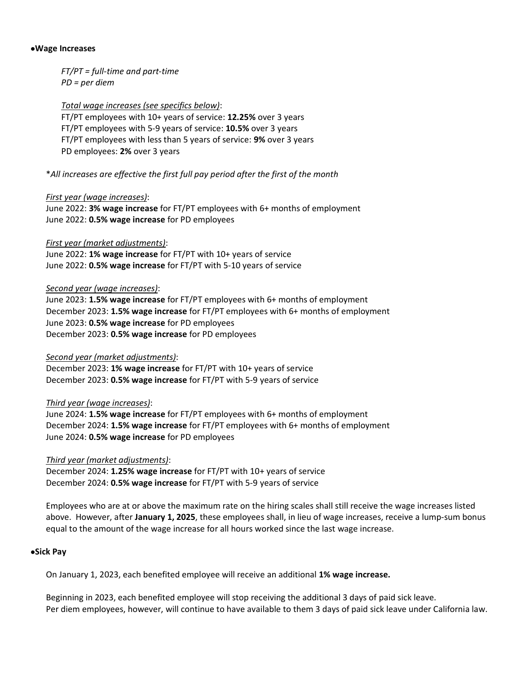#### •**Wage Increases**

*FT/PT = full-time and part-time PD = per diem*

*Total wage increases (see specifics below)*:

FT/PT employees with 10+ years of service: **12.25%** over 3 years FT/PT employees with 5-9 years of service: **10.5%** over 3 years FT/PT employees with less than 5 years of service: **9%** over 3 years PD employees: **2%** over 3 years

\**All increases are effective the first full pay period after the first of the month*

#### *First year (wage increases)*:

June 2022: **3% wage increase** for FT/PT employees with 6+ months of employment June 2022: **0.5% wage increase** for PD employees

#### *First year (market adjustments)*:

June 2022: **1% wage increase** for FT/PT with 10+ years of service June 2022: **0.5% wage increase** for FT/PT with 5-10 years of service

#### *Second year (wage increases)*:

June 2023: **1.5% wage increase** for FT/PT employees with 6+ months of employment December 2023: **1.5% wage increase** for FT/PT employees with 6+ months of employment June 2023: **0.5% wage increase** for PD employees December 2023: **0.5% wage increase** for PD employees

# *Second year (market adjustments)*:

December 2023: **1% wage increase** for FT/PT with 10+ years of service December 2023: **0.5% wage increase** for FT/PT with 5-9 years of service

# *Third year (wage increases)*:

June 2024: **1.5% wage increase** for FT/PT employees with 6+ months of employment December 2024: **1.5% wage increase** for FT/PT employees with 6+ months of employment June 2024: **0.5% wage increase** for PD employees

# *Third year (market adjustments)*:

December 2024: **1.25% wage increase** for FT/PT with 10+ years of service December 2024: **0.5% wage increase** for FT/PT with 5-9 years of service

Employees who are at or above the maximum rate on the hiring scales shall still receive the wage increases listed above. However, after **January 1, 2025**, these employees shall, in lieu of wage increases, receive a lump-sum bonus equal to the amount of the wage increase for all hours worked since the last wage increase.

# •**Sick Pay**

On January 1, 2023, each benefited employee will receive an additional **1% wage increase.**

Beginning in 2023, each benefited employee will stop receiving the additional 3 days of paid sick leave. Per diem employees, however, will continue to have available to them 3 days of paid sick leave under California law.